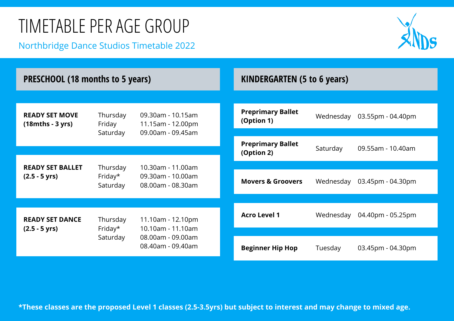Northbridge Dance Studios Timetable 2022



| PRESCHOOL (18 months to 5 years)                                                                              |                                                              |                                        |           | <b>KINDERGARTEN (5 to 6 years)</b>     |           |                   |  |
|---------------------------------------------------------------------------------------------------------------|--------------------------------------------------------------|----------------------------------------|-----------|----------------------------------------|-----------|-------------------|--|
|                                                                                                               |                                                              |                                        |           |                                        |           |                   |  |
| <b>READY SET MOVE</b><br>$(18mths - 3 yrs)$                                                                   | Thursday<br>09.30am - 10.15am<br>Friday<br>11.15am - 12.00pm | <b>Preprimary Ballet</b><br>(Option 1) | Wednesday | 03.55pm - 04.40pm                      |           |                   |  |
|                                                                                                               | Saturday                                                     | 09.00am - 09.45am                      |           |                                        |           |                   |  |
|                                                                                                               |                                                              |                                        |           | <b>Preprimary Ballet</b><br>(Option 2) | Saturday  | 09.55am - 10.40am |  |
| <b>READY SET BALLET</b>                                                                                       | Thursday                                                     | 10.30am - 11.00am                      |           |                                        |           |                   |  |
| $(2.5 - 5 \text{ yrs})$                                                                                       | Friday*<br>Saturday                                          | 09.30am - 10.00am<br>08.00am - 08.30am |           | <b>Movers &amp; Groovers</b>           | Wednesday | 03.45pm - 04.30pm |  |
|                                                                                                               |                                                              |                                        |           |                                        |           |                   |  |
| <b>READY SET DANCE</b>                                                                                        | Thursday                                                     | 11.10am - 12.10pm                      |           | <b>Acro Level 1</b>                    | Wednesday | 04.40pm - 05.25pm |  |
| Friday*<br>10.10am - 11.10am<br>$(2.5 - 5 \text{ yrs})$<br>Saturday<br>08.00am - 09.00am<br>08.40am - 09.40am |                                                              |                                        |           |                                        |           |                   |  |
|                                                                                                               |                                                              |                                        |           | <b>Beginner Hip Hop</b>                | Tuesday   | 03.45pm - 04.30pm |  |

\*These classes are the proposed Level 1 classes (2.5-3.5yrs) but subject to interest and may change to mixed age.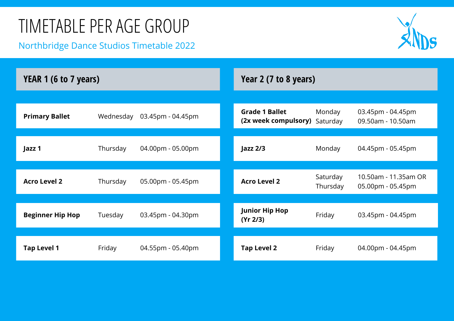

| YEAR 1 (6 to 7 years)   |           |                   | Year 2 (7 to 8 years)                         |                      |                                           |
|-------------------------|-----------|-------------------|-----------------------------------------------|----------------------|-------------------------------------------|
|                         |           |                   |                                               |                      |                                           |
| <b>Primary Ballet</b>   | Wednesday | 03.45pm - 04.45pm | <b>Grade 1 Ballet</b><br>(2x week compulsory) | Monday<br>Saturday   | 03.45pm - 04.45pm<br>09.50am - 10.50am    |
| Jazz 1                  | Thursday  | 04.00pm - 05.00pm | <b>Jazz 2/3</b>                               | Monday               | 04.45pm - 05.45pm                         |
|                         |           |                   |                                               |                      |                                           |
| <b>Acro Level 2</b>     | Thursday  | 05.00pm - 05.45pm | <b>Acro Level 2</b>                           | Saturday<br>Thursday | 10.50am - 11.35am OR<br>05.00pm - 05.45pm |
|                         |           |                   |                                               |                      |                                           |
| <b>Beginner Hip Hop</b> | Tuesday   | 03.45pm - 04.30pm | <b>Junior Hip Hop</b><br>(Yr 2/3)             | Friday               | 03.45pm - 04.45pm                         |
|                         |           |                   |                                               |                      |                                           |
| <b>Tap Level 1</b>      | Friday    | 04.55pm - 05.40pm | <b>Tap Level 2</b>                            | Friday               | 04.00pm - 04.45pm                         |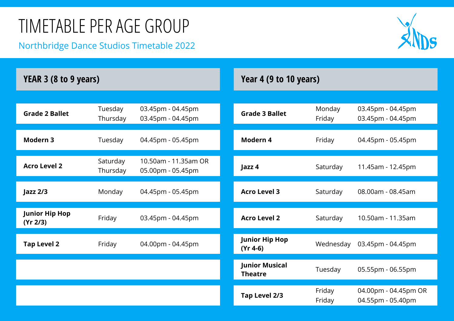

| YEAR 3 (8 to 9 years)             |                      |                                           | Year 4 (9 to 10 years)                  |                  |                                           |
|-----------------------------------|----------------------|-------------------------------------------|-----------------------------------------|------------------|-------------------------------------------|
|                                   |                      |                                           |                                         |                  |                                           |
| <b>Grade 2 Ballet</b>             | Tuesday<br>Thursday  | 03.45pm - 04.45pm<br>03.45pm - 04.45pm    | <b>Grade 3 Ballet</b>                   | Monday<br>Friday | 03.45pm - 04.45pm<br>03.45pm - 04.45pm    |
| <b>Modern 3</b>                   | Tuesday              | 04.45pm - 05.45pm                         | Modern 4                                | Friday           | 04.45pm - 05.45pm                         |
| <b>Acro Level 2</b>               | Saturday<br>Thursday | 10.50am - 11.35am OR<br>05.00pm - 05.45pm | Jazz 4                                  | Saturday         | 11.45am - 12.45pm                         |
| $\vert$ azz 2/3                   | Monday               | 04.45pm - 05.45pm                         | <b>Acro Level 3</b>                     | Saturday         | 08.00am - 08.45am                         |
| <b>Junior Hip Hop</b><br>(Yr 2/3) | Friday               | 03.45pm - 04.45pm                         | <b>Acro Level 2</b>                     | Saturday         | 10.50am - 11.35am                         |
| <b>Tap Level 2</b>                | Friday               | 04.00pm - 04.45pm                         | <b>Junior Hip Hop</b><br>$(Yr 4-6)$     | Wednesday        | 03.45pm - 04.45pm                         |
|                                   |                      |                                           | <b>Junior Musical</b><br><b>Theatre</b> | Tuesday          | 05.55pm - 06.55pm                         |
|                                   |                      |                                           | Tap Level 2/3                           | Friday<br>Friday | 04.00pm - 04.45pm OR<br>04.55pm - 05.40pm |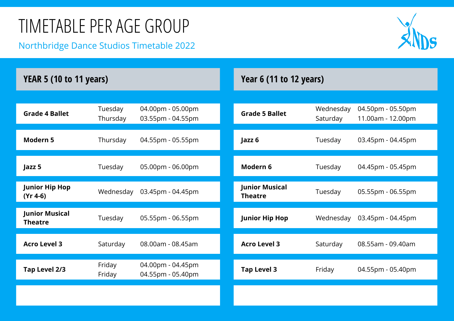

| <b>YEAR 5 (10 to 11 years)</b>          |                     |                                        |                | Year 6 (11 to 12 years) |                       |                                        |
|-----------------------------------------|---------------------|----------------------------------------|----------------|-------------------------|-----------------------|----------------------------------------|
|                                         |                     |                                        |                |                         |                       |                                        |
| <b>Grade 4 Ballet</b>                   | Tuesday<br>Thursday | 04.00pm - 05.00pm<br>03.55pm - 04.55pm |                | <b>Grade 5 Ballet</b>   | Wednesday<br>Saturday | 04.50pm - 05.50pm<br>11.00am - 12.00pm |
| <b>Modern 5</b>                         | Thursday            | 04.55pm - 05.55pm                      | Jazz 6         |                         | Tuesday               | 03.45pm - 04.45pm                      |
| Jazz 5                                  | Tuesday             | 05.00pm - 06.00pm                      |                | Modern <sub>6</sub>     | Tuesday               | 04.45pm - 05.45pm                      |
| <b>Junior Hip Hop</b><br>$(Yr 4-6)$     | Wednesday           | 03.45pm - 04.45pm                      | <b>Theatre</b> | <b>Junior Musical</b>   | Tuesday               | 05.55pm - 06.55pm                      |
| <b>Junior Musical</b><br><b>Theatre</b> | Tuesday             | 05.55pm - 06.55pm                      |                | <b>Junior Hip Hop</b>   | Wednesday             | 03.45pm - 04.45pm                      |
| <b>Acro Level 3</b>                     | Saturday            | 08.00am - 08.45am                      |                | <b>Acro Level 3</b>     | Saturday              | 08.55am - 09.40am                      |
| Tap Level 2/3                           | Friday<br>Friday    | 04.00pm - 04.45pm<br>04.55pm - 05.40pm |                | <b>Tap Level 3</b>      | Friday                | 04.55pm - 05.40pm                      |
|                                         |                     |                                        |                |                         |                       |                                        |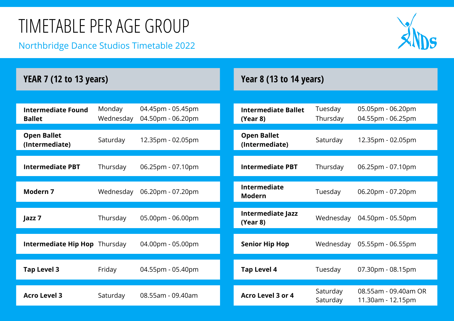

| <b>YEAR 7 (12 to 13 years)</b>             |                     |                                        |  | Year 8 (13 to 14 years)                |                      |                                           |
|--------------------------------------------|---------------------|----------------------------------------|--|----------------------------------------|----------------------|-------------------------------------------|
|                                            |                     |                                        |  |                                        |                      |                                           |
| <b>Intermediate Found</b><br><b>Ballet</b> | Monday<br>Wednesday | 04.45pm - 05.45pm<br>04.50pm - 06.20pm |  | <b>Intermediate Ballet</b><br>(Year 8) | Tuesday<br>Thursday  | 05.05pm - 06.20pm<br>04.55pm - 06.25pm    |
| <b>Open Ballet</b><br>(Intermediate)       | Saturday            | 12.35pm - 02.05pm                      |  | <b>Open Ballet</b><br>(Intermediate)   | Saturday             | 12.35pm - 02.05pm                         |
| <b>Intermediate PBT</b>                    | Thursday            | 06.25pm - 07.10pm                      |  | <b>Intermediate PBT</b>                | Thursday             | 06.25pm - 07.10pm                         |
| Modern <sub>7</sub>                        | Wednesday           | 06.20pm - 07.20pm                      |  | <b>Intermediate</b><br><b>Modern</b>   | Tuesday              | 06.20pm - 07.20pm                         |
| Jazz <sub>7</sub>                          | Thursday            | 05.00pm - 06.00pm                      |  | Intermediate Jazz<br>(Year 8)          | Wednesday            | 04.50pm - 05.50pm                         |
| <b>Intermediate Hip Hop</b> Thursday       |                     | 04.00pm - 05.00pm                      |  | <b>Senior Hip Hop</b>                  | Wednesday            | 05.55pm - 06.55pm                         |
| <b>Tap Level 3</b>                         | Friday              | 04.55pm - 05.40pm                      |  | <b>Tap Level 4</b>                     | Tuesday              | 07.30pm - 08.15pm                         |
| <b>Acro Level 3</b>                        | Saturday            | 08.55am - 09.40am                      |  | Acro Level 3 or 4                      | Saturday<br>Saturday | 08.55am - 09.40am OR<br>11.30am - 12.15pm |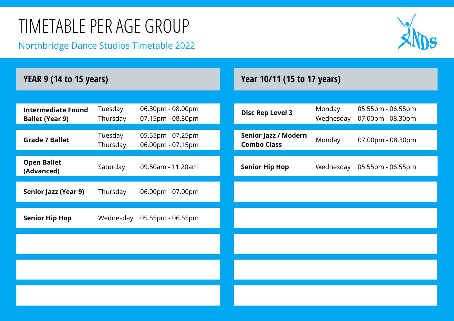

| <b>YEAR 9 (14 to 15 years)</b>                      |                     |                                        | Year 10/11 (15 to 17 years)                |                     |                                        |
|-----------------------------------------------------|---------------------|----------------------------------------|--------------------------------------------|---------------------|----------------------------------------|
|                                                     |                     |                                        |                                            |                     |                                        |
| <b>Intermediate Found</b><br><b>Ballet (Year 9)</b> | Tuesday<br>Thursday | 06.30pm - 08.00pm<br>07.15pm - 08.30pm | <b>Disc Rep Level 3</b>                    | Monday<br>Wednesday | 05.55pm - 06.55pm<br>07.00pm - 08.30pm |
| <b>Grade 7 Ballet</b>                               | Tuesday<br>Thursday | 05.55pm - 07.25pm<br>06.00pm - 07.15pm | Senior Jazz / Modern<br><b>Combo Class</b> | Monday              | 07.00pm - 08.30pm                      |
| <b>Open Ballet</b><br>(Advanced)                    | Saturday            | 09.50am - 11.20am                      | <b>Senior Hip Hop</b>                      | Wednesday           | 05.55pm - 06.55pm                      |
| <b>Senior Jazz (Year 9)</b>                         | Thursday            | 06.00pm - 07.00pm                      |                                            |                     |                                        |
| <b>Senior Hip Hop</b>                               | Wednesday           | 05.55pm - 06.55pm                      |                                            |                     |                                        |
|                                                     |                     |                                        |                                            |                     |                                        |
|                                                     |                     |                                        |                                            |                     |                                        |
|                                                     |                     |                                        |                                            |                     |                                        |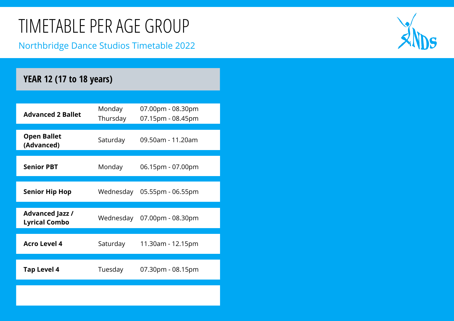Northbridge Dance Studios Timetable 2022



## **YEAR 12 (17 to 18 years)**

| <b>Advanced 2 Ballet</b>                       | Monday<br>Thursday | 07.00pm - 08.30pm<br>07.15pm - 08.45pm |
|------------------------------------------------|--------------------|----------------------------------------|
| <b>Open Ballet</b><br>(Advanced)               | Saturday           | 09.50am - 11.20am                      |
| <b>Senior PBT</b>                              | Monday             | 06.15pm - 07.00pm                      |
| <b>Senior Hip Hop</b>                          |                    | Wednesday 05.55pm - 06.55pm            |
| <b>Advanced Jazz /</b><br><b>Lyrical Combo</b> |                    | Wednesday 07.00pm - 08.30pm            |
| <b>Acro Level 4</b>                            | Saturday           | 11.30am - 12.15pm                      |
| <b>Tap Level 4</b>                             | Tuesday            | 07.30pm - 08.15pm                      |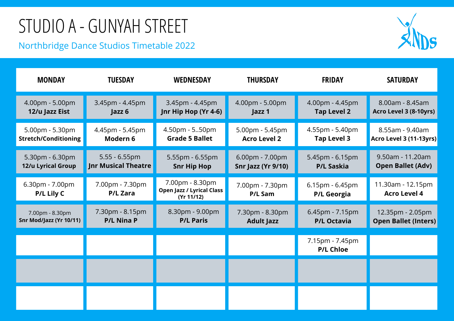# STUDIO A- GUNYAH STREET



| <b>MONDAY</b>                                  | <b>TUESDAY</b>                                 | <b>WEDNESDAY</b>                                                  | <b>THURSDAY</b>                              | <b>FRIDAY</b>                         | <b>SATURDAY</b>                                 |
|------------------------------------------------|------------------------------------------------|-------------------------------------------------------------------|----------------------------------------------|---------------------------------------|-------------------------------------------------|
| 4.00pm - 5.00pm<br>12/u Jazz Eist              | 3.45pm - 4.45pm<br>Jazz 6                      | 3.45pm - 4.45pm<br>Jnr Hip Hop (Yr 4-6)                           | 4.00pm - 5.00pm<br>Jazz 1                    | 4.00pm - 4.45pm<br><b>Tap Level 2</b> | 8.00am - 8.45am<br>Acro Level 3 (8-10yrs)       |
| 5.00pm - 5.30pm<br><b>Stretch/Conditioning</b> | 4.45pm - 5.45pm<br>Modern 6                    | 4.50pm - 550pm<br><b>Grade 5 Ballet</b>                           | 5.00pm - 5.45pm<br><b>Acro Level 2</b>       | 4.55pm - 5.40pm<br><b>Tap Level 3</b> | 8.55am - 9.40am<br>Acro Level 3 (11-13yrs)      |
| 5.30pm - 6.30pm<br><b>12/u Lyrical Group</b>   | $5.55 - 6.55$ pm<br><b>Jnr Musical Theatre</b> | 5.55pm - 6.55pm<br><b>Snr Hip Hop</b>                             | 6.00pm - 7.00pm<br><b>Snr Jazz (Yr 9/10)</b> | 5.45pm - 6.15pm<br><b>P/L Saskia</b>  | 9.50am - 11.20am<br><b>Open Ballet (Adv)</b>    |
| 6.30pm - 7.00pm<br><b>P/L Lily C</b>           | 7.00pm - 7.30pm<br>P/L Zara                    | 7.00pm - 8.30pm<br><b>Open Jazz / Lyrical Class</b><br>(Yr 11/12) | 7.00pm - 7.30pm<br>P/L Sam                   | 6.15pm - 6.45pm<br><b>P/L Georgia</b> | 11.30am - 12.15pm<br><b>Acro Level 4</b>        |
| 7.00pm - 8.30pm<br>Snr Mod/Jazz (Yr 10/11)     | 7.30pm - 8.15pm<br><b>P/L Nina P</b>           | 8.30pm - 9.00pm<br><b>P/L Paris</b>                               | 7.30pm - 8.30pm<br><b>Adult Jazz</b>         | 6.45pm - 7.15pm<br><b>P/L Octavia</b> | 12.35pm - 2.05pm<br><b>Open Ballet (Inters)</b> |
|                                                |                                                |                                                                   |                                              | 7.15pm - 7.45pm<br><b>P/L Chloe</b>   |                                                 |
|                                                |                                                |                                                                   |                                              |                                       |                                                 |
|                                                |                                                |                                                                   |                                              |                                       |                                                 |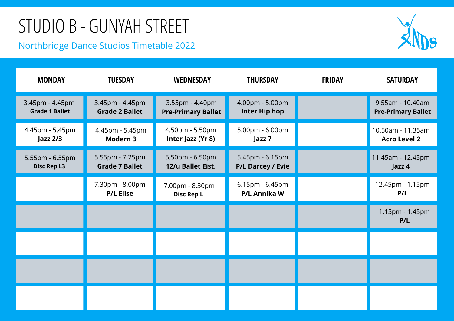# STUDIO B - GUNYAH STREET



| <b>MONDAY</b>                            | <b>TUESDAY</b>                           | <b>WEDNESDAY</b>                             | <b>THURSDAY</b>                             | <b>FRIDAY</b> | <b>SATURDAY</b>                               |
|------------------------------------------|------------------------------------------|----------------------------------------------|---------------------------------------------|---------------|-----------------------------------------------|
| 3.45pm - 4.45pm<br><b>Grade 1 Ballet</b> | 3.45pm - 4.45pm<br><b>Grade 2 Ballet</b> | 3.55pm - 4.40pm<br><b>Pre-Primary Ballet</b> | 4.00pm - 5.00pm<br>Inter Hip hop            |               | 9.55am - 10.40am<br><b>Pre-Primary Ballet</b> |
| 4.45pm - 5.45pm<br>Jazz $2/3$            | 4.45pm - 5.45pm<br><b>Modern 3</b>       | 4.50pm - 5.50pm<br>Inter Jazz (Yr 8)         | 5.00pm - 6.00pm<br>Jazz <sub>7</sub>        |               | 10.50am - 11.35am<br><b>Acro Level 2</b>      |
| 5.55pm - 6.55pm<br><b>Disc Rep L3</b>    | 5.55pm - 7.25pm<br><b>Grade 7 Ballet</b> | 5.50pm - 6.50pm<br>12/u Ballet Eist.         | 5.45pm - 6.15pm<br><b>P/L Darcey / Evie</b> |               | 11.45am - 12.45pm<br>Jazz 4                   |
|                                          | 7.30pm - 8.00pm<br><b>P/L Elise</b>      | 7.00pm - 8.30pm<br>Disc Rep L                | 6.15pm - 6.45pm<br>P/L Annika W             |               | 12.45pm - 1.15pm<br>P/L                       |
|                                          |                                          |                                              |                                             |               | 1.15pm - 1.45pm<br>P/L                        |
|                                          |                                          |                                              |                                             |               |                                               |
|                                          |                                          |                                              |                                             |               |                                               |
|                                          |                                          |                                              |                                             |               |                                               |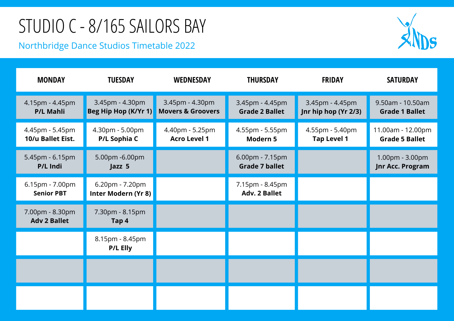# STUDIO C - 8/165 SAILORS BAY



| <b>MONDAY</b>                          | <b>TUESDAY</b>                          | <b>WEDNESDAY</b>                                | <b>THURSDAY</b>                          | <b>FRIDAY</b>                           | <b>SATURDAY</b>                            |
|----------------------------------------|-----------------------------------------|-------------------------------------------------|------------------------------------------|-----------------------------------------|--------------------------------------------|
| 4.15pm - 4.45pm<br><b>P/L Mahli</b>    | 3.45pm - 4.30pm<br>Beg Hip Hop (K/Yr 1) | 3.45pm - 4.30pm<br><b>Movers &amp; Groovers</b> | 3.45pm - 4.45pm<br><b>Grade 2 Ballet</b> | 3.45pm - 4.45pm<br>Jnr hip hop (Yr 2/3) | 9.50am - 10.50am<br><b>Grade 1 Ballet</b>  |
| 4.45pm - 5.45pm<br>10/u Ballet Eist.   | 4.30pm - 5.00pm<br>P/L Sophia C         | 4.40pm - 5.25pm<br><b>Acro Level 1</b>          | 4.55pm - 5.55pm<br><b>Modern 5</b>       | 4.55pm - 5.40pm<br><b>Tap Level 1</b>   | 11.00am - 12.00pm<br><b>Grade 5 Ballet</b> |
| 5.45pm - 6.15pm<br>P/L Indi            | 5.00pm -6.00pm<br>Jazz 5                |                                                 | 6.00pm - 7.15pm<br><b>Grade 7 ballet</b> |                                         | 1.00pm - 3.00pm<br><b>Jnr Acc. Program</b> |
| 6.15pm - 7.00pm<br><b>Senior PBT</b>   | 6.20pm - 7.20pm<br>Inter Modern (Yr 8)  |                                                 | 7.15pm - 8.45pm<br><b>Adv. 2 Ballet</b>  |                                         |                                            |
| 7.00pm - 8.30pm<br><b>Adv 2 Ballet</b> | 7.30pm - 8.15pm<br>Tap 4                |                                                 |                                          |                                         |                                            |
|                                        | 8.15pm - 8.45pm<br><b>P/L Elly</b>      |                                                 |                                          |                                         |                                            |
|                                        |                                         |                                                 |                                          |                                         |                                            |
|                                        |                                         |                                                 |                                          |                                         |                                            |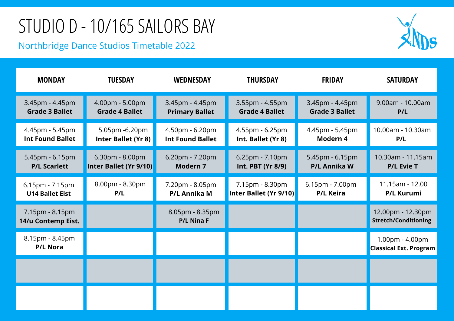# STUDIO D - 10/165 SAILORS BAY



| <b>MONDAY</b>                              | <b>TUESDAY</b>                            | <b>WEDNESDAY</b>                           | <b>THURSDAY</b>                             | <b>FRIDAY</b>                            | <b>SATURDAY</b>                                  |
|--------------------------------------------|-------------------------------------------|--------------------------------------------|---------------------------------------------|------------------------------------------|--------------------------------------------------|
| 3.45pm - 4.45pm<br><b>Grade 3 Ballet</b>   | 4.00pm - 5.00pm<br><b>Grade 4 Ballet</b>  | 3.45pm - 4.45pm<br><b>Primary Ballet</b>   | 3.55pm - 4.55pm<br><b>Grade 4 Ballet</b>    | 3.45pm - 4.45pm<br><b>Grade 3 Ballet</b> | 9.00am - 10.00am<br>P/L                          |
| 4.45pm - 5.45pm<br><b>Int Found Ballet</b> | 5.05pm -6.20pm<br>Inter Ballet (Yr 8)     | 4.50pm - 6.20pm<br><b>Int Found Ballet</b> | 4.55pm - 6.25pm<br>Int. Ballet (Yr 8)       | 4.45pm - 5.45pm<br>Modern 4              | 10.00am - 10.30am<br>P/L                         |
| 5.45pm - 6.15pm<br><b>P/L Scarlett</b>     | 6.30pm - 8.00pm<br>Inter Ballet (Yr 9/10) | 6.20pm - 7.20pm<br>Modern <sub>7</sub>     | 6.25pm - 7.10pm<br><b>Int. PBT (Yr 8/9)</b> | 5.45pm - 6.15pm<br><b>P/L Annika W</b>   | 10.30am - 11.15am<br><b>P/L Evie T</b>           |
| 6.15pm - 7.15pm<br><b>U14 Ballet Eist</b>  | 8.00pm - 8.30pm<br>P/L                    | 7.20pm - 8.05pm<br>P/L Annika M            | 7.15pm - 8.30pm<br>Inter Ballet (Yr 9/10)   | 6.15pm - 7.00pm<br><b>P/L Keira</b>      | 11.15am - 12.00<br><b>P/L Kurumi</b>             |
| 7.15pm - 8.15pm<br>14/u Contemp Eist.      |                                           | 8.05pm - 8.35pm<br><b>P/L Nina F</b>       |                                             |                                          | 12.00pm - 12.30pm<br><b>Stretch/Conditioning</b> |
| 8.15pm - 8.45pm<br><b>P/L Nora</b>         |                                           |                                            |                                             |                                          | 1.00pm - 4.00pm<br><b>Classical Ext. Program</b> |
|                                            |                                           |                                            |                                             |                                          |                                                  |
|                                            |                                           |                                            |                                             |                                          |                                                  |